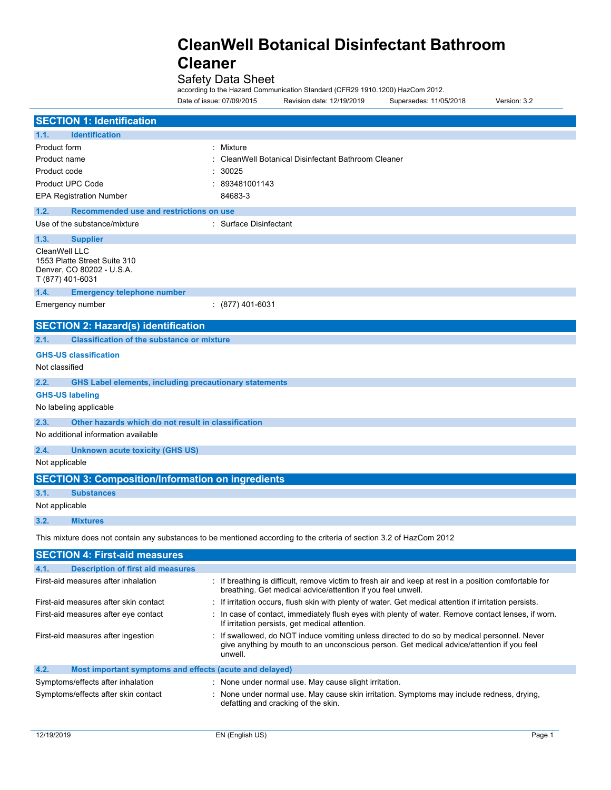Safety Data Sheet

according to the Hazard Communication Standard (CFR29 1910.1200) HazCom 2012.

Date of issue: 07/09/2015 Revision date: 12/19/2019 Supersedes: 11/05/2018 Version: 3.2

| <b>SECTION 1: Identification</b>                                                               |                                                                                                                                                                                                     |  |  |
|------------------------------------------------------------------------------------------------|-----------------------------------------------------------------------------------------------------------------------------------------------------------------------------------------------------|--|--|
| <b>Identification</b><br>1.1.                                                                  |                                                                                                                                                                                                     |  |  |
| Product form                                                                                   | : Mixture                                                                                                                                                                                           |  |  |
| Product name                                                                                   | CleanWell Botanical Disinfectant Bathroom Cleaner                                                                                                                                                   |  |  |
| 30025<br>Product code                                                                          |                                                                                                                                                                                                     |  |  |
| <b>Product UPC Code</b>                                                                        | 893481001143                                                                                                                                                                                        |  |  |
| <b>EPA Registration Number</b>                                                                 | 84683-3                                                                                                                                                                                             |  |  |
| 1.2.<br>Recommended use and restrictions on use                                                |                                                                                                                                                                                                     |  |  |
| Use of the substance/mixture                                                                   | : Surface Disinfectant                                                                                                                                                                              |  |  |
| 1.3.<br><b>Supplier</b>                                                                        |                                                                                                                                                                                                     |  |  |
| CleanWell LLC<br>1553 Platte Street Suite 310<br>Denver, CO 80202 - U.S.A.<br>T (877) 401-6031 |                                                                                                                                                                                                     |  |  |
| 1.4.<br><b>Emergency telephone number</b>                                                      |                                                                                                                                                                                                     |  |  |
| Emergency number                                                                               | $(877)$ 401-6031                                                                                                                                                                                    |  |  |
| <b>SECTION 2: Hazard(s) identification</b>                                                     |                                                                                                                                                                                                     |  |  |
| <b>Classification of the substance or mixture</b><br>2.1.                                      |                                                                                                                                                                                                     |  |  |
| <b>GHS-US classification</b>                                                                   |                                                                                                                                                                                                     |  |  |
| Not classified                                                                                 |                                                                                                                                                                                                     |  |  |
| 2.2.<br><b>GHS Label elements, including precautionary statements</b>                          |                                                                                                                                                                                                     |  |  |
| <b>GHS-US labeling</b>                                                                         |                                                                                                                                                                                                     |  |  |
| No labeling applicable                                                                         |                                                                                                                                                                                                     |  |  |
| 2.3.<br>Other hazards which do not result in classification                                    |                                                                                                                                                                                                     |  |  |
| No additional information available                                                            |                                                                                                                                                                                                     |  |  |
| 2.4.                                                                                           |                                                                                                                                                                                                     |  |  |
| <b>Unknown acute toxicity (GHS US)</b><br>Not applicable                                       |                                                                                                                                                                                                     |  |  |
|                                                                                                |                                                                                                                                                                                                     |  |  |
| <b>SECTION 3: Composition/Information on ingredients</b>                                       |                                                                                                                                                                                                     |  |  |
| 3.1.<br><b>Substances</b>                                                                      |                                                                                                                                                                                                     |  |  |
| Not applicable                                                                                 |                                                                                                                                                                                                     |  |  |
| 3.2.<br><b>Mixtures</b>                                                                        |                                                                                                                                                                                                     |  |  |
|                                                                                                | This mixture does not contain any substances to be mentioned according to the criteria of section 3.2 of HazCom 2012                                                                                |  |  |
| <b>SECTION 4: First-aid measures</b>                                                           |                                                                                                                                                                                                     |  |  |
| 4.1.<br><b>Description of first aid measures</b>                                               |                                                                                                                                                                                                     |  |  |
| First-aid measures after inhalation                                                            | : If breathing is difficult, remove victim to fresh air and keep at rest in a position comfortable for<br>breathing. Get medical advice/attention if you feel unwell.                               |  |  |
| First-aid measures after skin contact                                                          | : If irritation occurs, flush skin with plenty of water. Get medical attention if irritation persists.                                                                                              |  |  |
| First-aid measures after eye contact                                                           | : In case of contact, immediately flush eyes with plenty of water. Remove contact lenses, if worn.<br>If irritation persists, get medical attention.                                                |  |  |
| First-aid measures after ingestion                                                             | : If swallowed, do NOT induce vomiting unless directed to do so by medical personnel. Never<br>give anything by mouth to an unconscious person. Get medical advice/attention if you feel<br>unwell. |  |  |

### **4.2. Most important symptoms and effects (acute and delayed)** Symptoms/effects after inhalation : None under normal use. May cause slight irritation. Symptoms/effects after skin contact : None under normal use. May cause skin irritation. Symptoms may include redness, drying, defatting and cracking of the skin.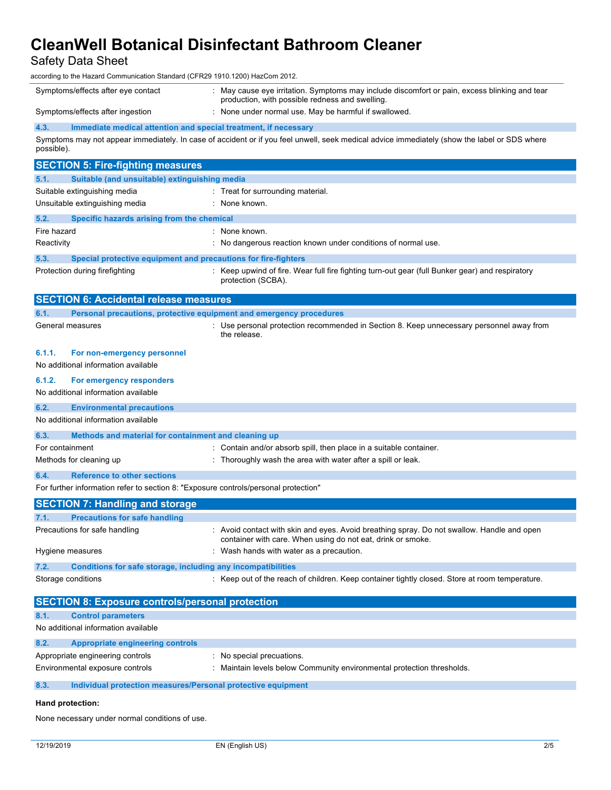Safety Data Sheet

according to the Hazard Communication Standard (CFR29 1910.1200) HazCom 2012.

| according to the Hazard Communication Standard (CFR29 1910.1200) HazCom 2012.                |                                                                                                                                                  |  |  |  |  |
|----------------------------------------------------------------------------------------------|--------------------------------------------------------------------------------------------------------------------------------------------------|--|--|--|--|
| Symptoms/effects after eye contact                                                           | : May cause eye irritation. Symptoms may include discomfort or pain, excess blinking and tear<br>production, with possible redness and swelling. |  |  |  |  |
| Symptoms/effects after ingestion                                                             | : None under normal use. May be harmful if swallowed.                                                                                            |  |  |  |  |
| 4.3.<br>Immediate medical attention and special treatment, if necessary                      |                                                                                                                                                  |  |  |  |  |
| possible).                                                                                   | Symptoms may not appear immediately. In case of accident or if you feel unwell, seek medical advice immediately (show the label or SDS where     |  |  |  |  |
| <b>SECTION 5: Fire-fighting measures</b>                                                     |                                                                                                                                                  |  |  |  |  |
| Suitable (and unsuitable) extinguishing media<br>5.1.                                        |                                                                                                                                                  |  |  |  |  |
| Suitable extinguishing media                                                                 | : Treat for surrounding material.                                                                                                                |  |  |  |  |
| Unsuitable extinguishing media                                                               | : None known.                                                                                                                                    |  |  |  |  |
| 5.2.<br>Specific hazards arising from the chemical                                           |                                                                                                                                                  |  |  |  |  |
| Fire hazard                                                                                  | : None known.                                                                                                                                    |  |  |  |  |
| Reactivity                                                                                   | : No dangerous reaction known under conditions of normal use.                                                                                    |  |  |  |  |
| 5.3.<br>Special protective equipment and precautions for fire-fighters                       |                                                                                                                                                  |  |  |  |  |
| Protection during firefighting                                                               | Keep upwind of fire. Wear full fire fighting turn-out gear (full Bunker gear) and respiratory<br>protection (SCBA).                              |  |  |  |  |
| <b>SECTION 6: Accidental release measures</b>                                                |                                                                                                                                                  |  |  |  |  |
| 6.1.<br>Personal precautions, protective equipment and emergency procedures                  |                                                                                                                                                  |  |  |  |  |
| General measures                                                                             | : Use personal protection recommended in Section 8. Keep unnecessary personnel away from<br>the release.                                         |  |  |  |  |
| 6.1.1.<br>For non-emergency personnel                                                        |                                                                                                                                                  |  |  |  |  |
| No additional information available                                                          |                                                                                                                                                  |  |  |  |  |
| 6.1.2.<br>For emergency responders                                                           |                                                                                                                                                  |  |  |  |  |
| No additional information available                                                          |                                                                                                                                                  |  |  |  |  |
| 6.2.<br><b>Environmental precautions</b>                                                     |                                                                                                                                                  |  |  |  |  |
| No additional information available                                                          |                                                                                                                                                  |  |  |  |  |
| 6.3.<br>Methods and material for containment and cleaning up                                 |                                                                                                                                                  |  |  |  |  |
| For containment                                                                              | Contain and/or absorb spill, then place in a suitable container.                                                                                 |  |  |  |  |
| Methods for cleaning up                                                                      | Thoroughly wash the area with water after a spill or leak.                                                                                       |  |  |  |  |
| 6.4.<br><b>Reference to other sections</b>                                                   |                                                                                                                                                  |  |  |  |  |
| For further information refer to section 8: "Exposure controls/personal protection"          |                                                                                                                                                  |  |  |  |  |
| <b>SECTION 7: Handling and storage</b>                                                       |                                                                                                                                                  |  |  |  |  |
| 7.1.<br><b>Precautions for safe handling</b>                                                 |                                                                                                                                                  |  |  |  |  |
| Precautions for safe handling                                                                | : Avoid contact with skin and eyes. Avoid breathing spray. Do not swallow. Handle and open                                                       |  |  |  |  |
|                                                                                              | container with care. When using do not eat, drink or smoke.                                                                                      |  |  |  |  |
| Hygiene measures                                                                             | : Wash hands with water as a precaution.                                                                                                         |  |  |  |  |
| 7.2.<br>Conditions for safe storage, including any incompatibilities                         |                                                                                                                                                  |  |  |  |  |
| Storage conditions                                                                           | : Keep out of the reach of children. Keep container tightly closed. Store at room temperature.                                                   |  |  |  |  |
|                                                                                              |                                                                                                                                                  |  |  |  |  |
| <b>SECTION 8: Exposure controls/personal protection</b><br>8.1.<br><b>Control parameters</b> |                                                                                                                                                  |  |  |  |  |
| No additional information available                                                          |                                                                                                                                                  |  |  |  |  |
|                                                                                              |                                                                                                                                                  |  |  |  |  |
| 8.2.<br><b>Appropriate engineering controls</b>                                              |                                                                                                                                                  |  |  |  |  |
| Appropriate engineering controls                                                             | : No special precuations.                                                                                                                        |  |  |  |  |
| Environmental exposure controls                                                              | : Maintain levels below Community environmental protection thresholds.                                                                           |  |  |  |  |
| 8.3.<br>Individual protection measures/Personal protective equipment                         |                                                                                                                                                  |  |  |  |  |

### **Hand protection:**

None necessary under normal conditions of use.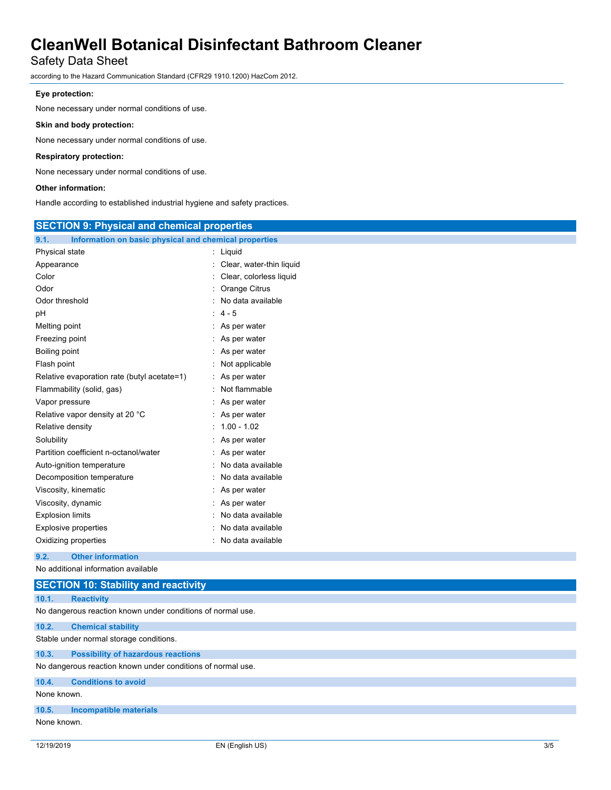## Safety Data Sheet

according to the Hazard Communication Standard (CFR29 1910.1200) HazCom 2012.

### **Eye protection:**

None necessary under normal conditions of use.

### **Skin and body protection:**

None necessary under normal conditions of use.

### **Respiratory protection:**

None necessary under normal conditions of use.

### **Other information:**

Handle according to established industrial hygiene and safety practices.

| <b>SECTION 9: Physical and chemical properties</b>            |                          |  |
|---------------------------------------------------------------|--------------------------|--|
| 9.1.<br>Information on basic physical and chemical properties |                          |  |
| Physical state                                                | : Liquid                 |  |
| Appearance                                                    | Clear, water-thin liquid |  |
| Color                                                         | Clear, colorless liquid  |  |
| Odor                                                          | Orange Citrus            |  |
| Odor threshold                                                | No data available        |  |
| pН                                                            | $4 - 5$                  |  |
| Melting point                                                 | As per water             |  |
| Freezing point                                                | As per water             |  |
| Boiling point                                                 | As per water             |  |
| Flash point                                                   | Not applicable           |  |
| Relative evaporation rate (butyl acetate=1)                   | As per water             |  |
| Flammability (solid, gas)                                     | Not flammable            |  |
| Vapor pressure                                                | As per water             |  |
| Relative vapor density at 20 °C                               | As per water             |  |
| Relative density                                              | $1.00 - 1.02$            |  |
| Solubility                                                    | As per water             |  |
| Partition coefficient n-octanol/water                         | As per water             |  |
| Auto-ignition temperature                                     | No data available        |  |
| Decomposition temperature                                     | No data available        |  |
| Viscosity, kinematic                                          | As per water             |  |
| Viscosity, dynamic                                            | As per water             |  |
| <b>Explosion limits</b>                                       | No data available        |  |
| <b>Explosive properties</b>                                   | No data available        |  |
| Oxidizing properties                                          | No data available        |  |
| <b>Other information</b><br>9.2.                              |                          |  |
| No additional information available                           |                          |  |
| <b>SECTION 10: Stability and reactivity</b>                   |                          |  |

| 10.1.                                                       | <b>Reactivity</b>                         |  |  |
|-------------------------------------------------------------|-------------------------------------------|--|--|
| No dangerous reaction known under conditions of normal use. |                                           |  |  |
| 10.2.                                                       | <b>Chemical stability</b>                 |  |  |
| Stable under normal storage conditions.                     |                                           |  |  |
| 10.3.                                                       | <b>Possibility of hazardous reactions</b> |  |  |
| No dangerous reaction known under conditions of normal use. |                                           |  |  |
| 10.4.                                                       | <b>Conditions to avoid</b>                |  |  |
| None known.                                                 |                                           |  |  |
| 10.5.                                                       | <b>Incompatible materials</b>             |  |  |
| None known.                                                 |                                           |  |  |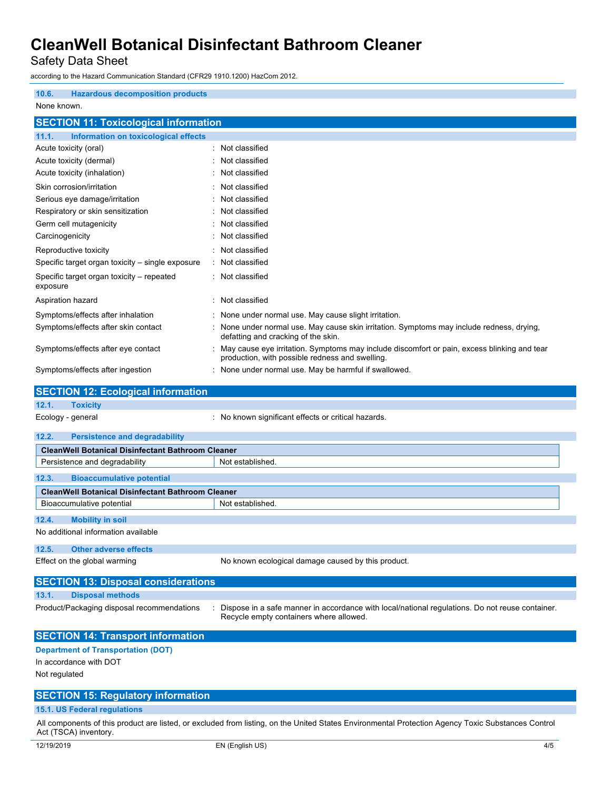Safety Data Sheet

according to the Hazard Communication Standard (CFR29 1910.1200) HazCom 2012.

| <b>Hazardous decomposition products</b><br>10.6.      |                                                                                                                                                  |
|-------------------------------------------------------|--------------------------------------------------------------------------------------------------------------------------------------------------|
|                                                       |                                                                                                                                                  |
| None known.                                           |                                                                                                                                                  |
| <b>SECTION 11: Toxicological information</b>          |                                                                                                                                                  |
| 11.1.<br>Information on toxicological effects         |                                                                                                                                                  |
| Acute toxicity (oral)                                 | : Not classified                                                                                                                                 |
| Acute toxicity (dermal)                               | Not classified                                                                                                                                   |
| Acute toxicity (inhalation)                           | Not classified                                                                                                                                   |
| Skin corrosion/irritation                             | Not classified                                                                                                                                   |
| Serious eye damage/irritation                         | : Not classified                                                                                                                                 |
| Respiratory or skin sensitization                     | Not classified                                                                                                                                   |
| Germ cell mutagenicity                                | Not classified                                                                                                                                   |
| Carcinogenicity                                       | : Not classified                                                                                                                                 |
| Reproductive toxicity                                 | : Not classified                                                                                                                                 |
| Specific target organ toxicity – single exposure      | : Not classified                                                                                                                                 |
| Specific target organ toxicity – repeated<br>exposure | : Not classified                                                                                                                                 |
| Aspiration hazard                                     | : Not classified                                                                                                                                 |
| Symptoms/effects after inhalation                     | : None under normal use. May cause slight irritation.                                                                                            |
| Symptoms/effects after skin contact                   | None under normal use. May cause skin irritation. Symptoms may include redness, drying,<br>defatting and cracking of the skin.                   |
| Symptoms/effects after eye contact                    | : May cause eye irritation. Symptoms may include discomfort or pain, excess blinking and tear<br>production, with possible redness and swelling. |
| Symptoms/effects after ingestion                      | : None under normal use. May be harmful if swallowed.                                                                                            |
| <b>SECTION 12: Ecological information</b>             |                                                                                                                                                  |
|                                                       |                                                                                                                                                  |

### **12.1. Toxicity**

Ecology - general : No known significant effects or critical hazards.

| 12.2.                                                    | <b>Persistence and degradability</b> |                                                    |  |  |
|----------------------------------------------------------|--------------------------------------|----------------------------------------------------|--|--|
| <b>CleanWell Botanical Disinfectant Bathroom Cleaner</b> |                                      |                                                    |  |  |
| Persistence and degradability                            |                                      | Not established.                                   |  |  |
| 12.3.                                                    | <b>Bioaccumulative potential</b>     |                                                    |  |  |
| <b>CleanWell Botanical Disinfectant Bathroom Cleaner</b> |                                      |                                                    |  |  |
| Bioaccumulative potential                                |                                      | Not established.                                   |  |  |
| 12.4.<br><b>Mobility in soil</b>                         |                                      |                                                    |  |  |
| No additional information available                      |                                      |                                                    |  |  |
| 12.5.                                                    | <b>Other adverse effects</b>         |                                                    |  |  |
| Effect on the global warming                             |                                      | No known ecological damage caused by this product. |  |  |
| <b>SECTION 13: Disposal considerations</b>               |                                      |                                                    |  |  |
| 13.1.<br><b>Disposal methods</b>                         |                                      |                                                    |  |  |

Product/Packaging disposal recommendations : Dispose in a safe manner in accordance with local/national regulations. Do not reuse container. Recycle empty containers where allowed.

### **SECTION 14: Transport information**

**Department of Transportation (DOT)**

In accordance with DOT

Not regulated

### **SECTION 15: Regulatory information**

### **15.1. US Federal regulations**

All components of this product are listed, or excluded from listing, on the United States Environmental Protection Agency Toxic Substances Control Act (TSCA) inventory.